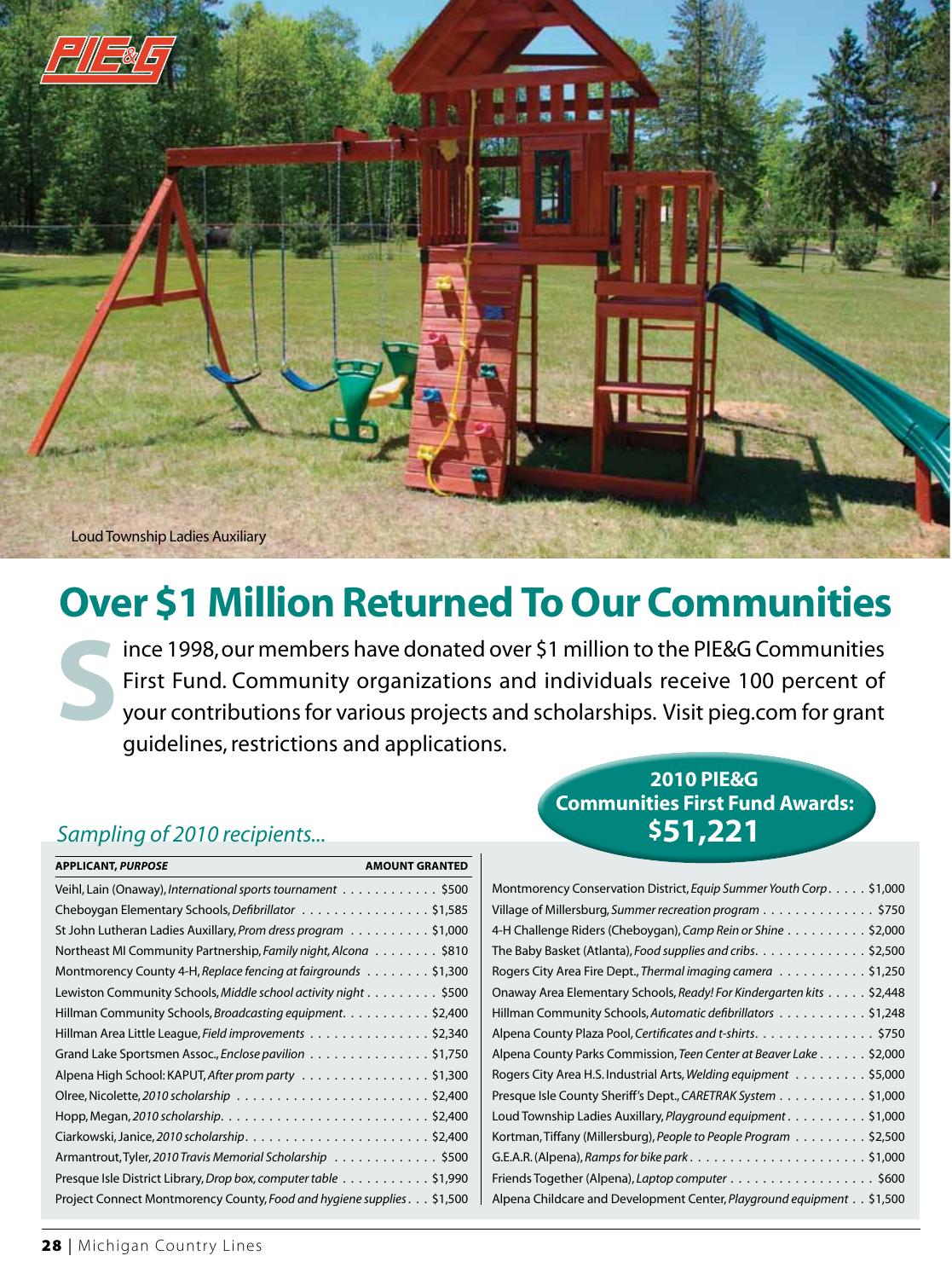

Loud Township Ladies Auxiliary

# **Over \$1 Million Returned To Our Communities**

 your contributions for various projects and scholarships. Visit pieg.com for grant Since 1998, our members have donated over \$1 million to the PIE&G Communities<br>First Fund. Community organizations and individuals receive 100 percent of<br>your contributions for various projects and scholarships. Visit pieg. First Fund. Community organizations and individuals receive 100 percent of guidelines, restrictions and applications.

### **Sampling of 2010 recipients...** *S51,221*

| <b>APPLICANT, PURPOSE</b>                                              | <b>AMOUNT GRANTED</b> |
|------------------------------------------------------------------------|-----------------------|
| Veihl, Lain (Onaway), International sports tournament \$500            |                       |
| Cheboygan Elementary Schools, Defibrillator \$1,585                    |                       |
| St John Lutheran Ladies Auxillary, Prom dress program \$1,000          |                       |
| Northeast MI Community Partnership, Family night, Alcona \$810         |                       |
| Montmorency County 4-H, Replace fencing at fairgrounds \$1,300         |                       |
| Lewiston Community Schools, Middle school activity night \$500         |                       |
| Hillman Community Schools, Broadcasting equipment. \$2,400             |                       |
| Hillman Area Little League, Field improvements \$2,340                 |                       |
| Grand Lake Sportsmen Assoc., Enclose pavilion \$1,750                  |                       |
| Alpena High School: KAPUT, After prom party \$1,300                    |                       |
|                                                                        |                       |
|                                                                        |                       |
|                                                                        |                       |
| Armantrout, Tyler, 2010 Travis Memorial Scholarship \$500              |                       |
| Presque Isle District Library, Drop box, computer table \$1,990        |                       |
| Project Connect Montmorency County, Food and hygiene supplies. \$1,500 |                       |

## **2010 PIE&G Communities First Fund Awards:**

| Montmorency Conservation District, Equip Summer Youth Corp. \$1,000   |
|-----------------------------------------------------------------------|
| Village of Millersburg, Summer recreation program \$750               |
| 4-H Challenge Riders (Cheboygan), Camp Rein or Shine \$2,000          |
| The Baby Basket (Atlanta), Food supplies and cribs. \$2,500           |
| Rogers City Area Fire Dept., Thermal imaging camera \$1,250           |
| Onaway Area Elementary Schools, Ready! For Kindergarten kits \$2,448  |
| Hillman Community Schools, Automatic defibrillators \$1,248           |
| Alpena County Plaza Pool, Certificates and t-shirts. \$750            |
| Alpena County Parks Commission, Teen Center at Beaver Lake \$2,000    |
| Rogers City Area H.S. Industrial Arts, Welding equipment \$5,000      |
| Presque Isle County Sheriff's Dept., CARETRAK System \$1,000          |
| Loud Township Ladies Auxillary, Playground equipment. \$1,000         |
| Kortman, Tiffany (Millersburg), People to People Program \$2,500      |
|                                                                       |
| Friends Together (Alpena), Laptop computer \$600                      |
| Alpena Childcare and Development Center, Playground equipment \$1,500 |